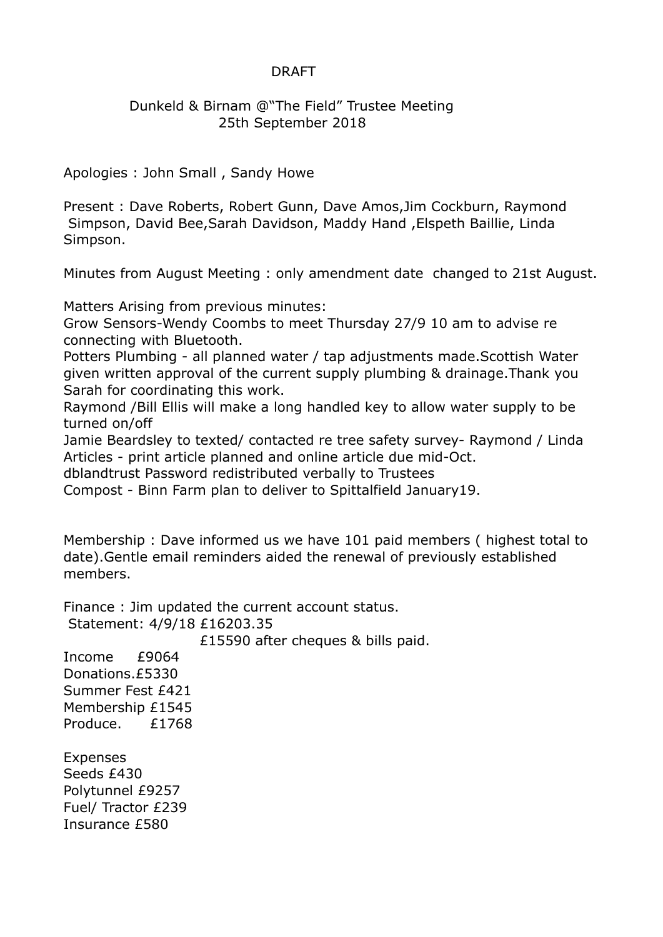## DRAFT

## Dunkeld & Birnam @"The Field" Trustee Meeting 25th September 2018

Apologies : John Small , Sandy Howe

Present : Dave Roberts, Robert Gunn, Dave Amos,Jim Cockburn, Raymond Simpson, David Bee,Sarah Davidson, Maddy Hand ,Elspeth Baillie, Linda Simpson.

Minutes from August Meeting : only amendment date changed to 21st August.

Matters Arising from previous minutes:

Grow Sensors-Wendy Coombs to meet Thursday 27/9 10 am to advise re connecting with Bluetooth.

Potters Plumbing - all planned water / tap adjustments made.Scottish Water given written approval of the current supply plumbing & drainage.Thank you Sarah for coordinating this work.

Raymond /Bill Ellis will make a long handled key to allow water supply to be turned on/off

Jamie Beardsley to texted/ contacted re tree safety survey- Raymond / Linda Articles - print article planned and online article due mid-Oct.

dblandtrust Password redistributed verbally to Trustees

Compost - Binn Farm plan to deliver to Spittalfield January19.

Membership : Dave informed us we have 101 paid members ( highest total to date).Gentle email reminders aided the renewal of previously established members.

Finance : Jim updated the current account status. Statement: 4/9/18 £16203.35

£15590 after cheques & bills paid.

Income £9064 Donations.£5330 Summer Fest £421 Membership £1545 Produce. £1768

Expenses Seeds £430 Polytunnel £9257 Fuel/ Tractor £239 Insurance £580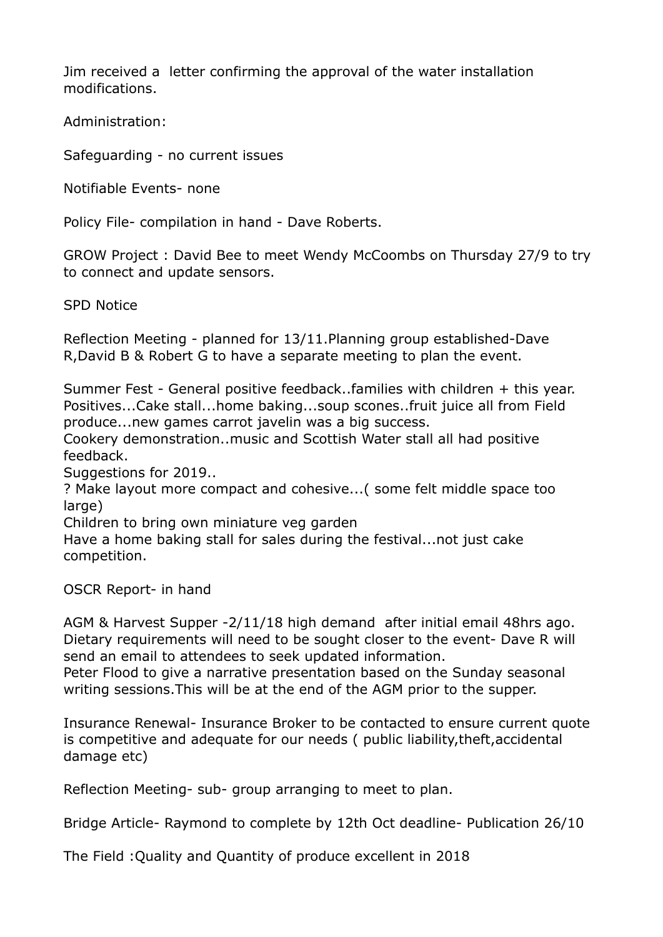Jim received a letter confirming the approval of the water installation modifications.

Administration:

Safeguarding - no current issues

Notifiable Events- none

Policy File- compilation in hand - Dave Roberts.

GROW Project : David Bee to meet Wendy McCoombs on Thursday 27/9 to try to connect and update sensors.

SPD Notice

Reflection Meeting - planned for 13/11.Planning group established-Dave R,David B & Robert G to have a separate meeting to plan the event.

Summer Fest - General positive feedback..families with children + this year. Positives...Cake stall...home baking...soup scones..fruit juice all from Field produce...new games carrot javelin was a big success.

Cookery demonstration..music and Scottish Water stall all had positive feedback.

Suggestions for 2019..

? Make layout more compact and cohesive...( some felt middle space too large)

Children to bring own miniature veg garden

Have a home baking stall for sales during the festival...not just cake competition.

OSCR Report- in hand

AGM & Harvest Supper -2/11/18 high demand after initial email 48hrs ago. Dietary requirements will need to be sought closer to the event- Dave R will send an email to attendees to seek updated information.

Peter Flood to give a narrative presentation based on the Sunday seasonal writing sessions.This will be at the end of the AGM prior to the supper.

Insurance Renewal- Insurance Broker to be contacted to ensure current quote is competitive and adequate for our needs ( public liability,theft,accidental damage etc)

Reflection Meeting- sub- group arranging to meet to plan.

Bridge Article- Raymond to complete by 12th Oct deadline- Publication 26/10

The Field :Quality and Quantity of produce excellent in 2018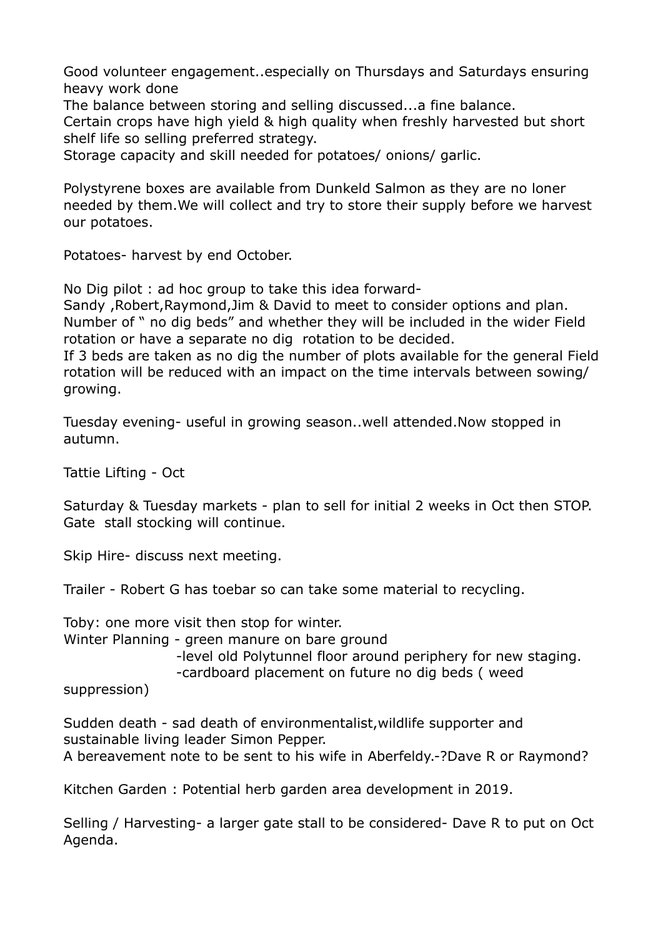Good volunteer engagement..especially on Thursdays and Saturdays ensuring heavy work done

The balance between storing and selling discussed...a fine balance.

Certain crops have high yield & high quality when freshly harvested but short shelf life so selling preferred strategy.

Storage capacity and skill needed for potatoes/ onions/ garlic.

Polystyrene boxes are available from Dunkeld Salmon as they are no loner needed by them.We will collect and try to store their supply before we harvest our potatoes.

Potatoes- harvest by end October.

No Dig pilot : ad hoc group to take this idea forward-

Sandy ,Robert,Raymond,Jim & David to meet to consider options and plan. Number of " no dig beds" and whether they will be included in the wider Field rotation or have a separate no dig rotation to be decided.

If 3 beds are taken as no dig the number of plots available for the general Field rotation will be reduced with an impact on the time intervals between sowing/ growing.

Tuesday evening- useful in growing season..well attended.Now stopped in autumn.

Tattie Lifting - Oct

Saturday & Tuesday markets - plan to sell for initial 2 weeks in Oct then STOP. Gate stall stocking will continue.

Skip Hire- discuss next meeting.

Trailer - Robert G has toebar so can take some material to recycling.

Toby: one more visit then stop for winter.

Winter Planning - green manure on bare ground

-level old Polytunnel floor around periphery for new staging.

-cardboard placement on future no dig beds ( weed

suppression)

Sudden death - sad death of environmentalist,wildlife supporter and sustainable living leader Simon Pepper. A bereavement note to be sent to his wife in Aberfeldy.-?Dave R or Raymond?

Kitchen Garden : Potential herb garden area development in 2019.

Selling / Harvesting- a larger gate stall to be considered- Dave R to put on Oct Agenda.